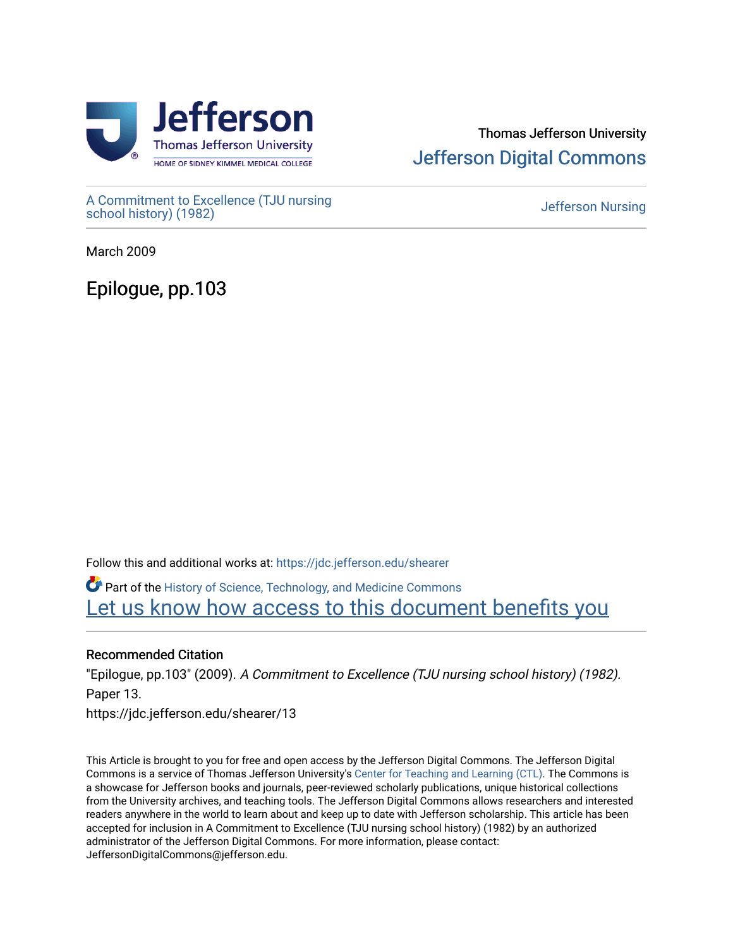

# Thomas Jefferson University [Jefferson Digital Commons](https://jdc.jefferson.edu/)

[A Commitment to Excellence \(TJU nursing](https://jdc.jefferson.edu/shearer) [school history\) \(1982\)](https://jdc.jefferson.edu/shearer) [Jefferson Nursing](https://jdc.jefferson.edu/jefferson_nursing) 

March 2009

Epilogue, pp.103

Follow this and additional works at: [https://jdc.jefferson.edu/shearer](https://jdc.jefferson.edu/shearer?utm_source=jdc.jefferson.edu%2Fshearer%2F13&utm_medium=PDF&utm_campaign=PDFCoverPages)

Part of the [History of Science, Technology, and Medicine Commons](http://network.bepress.com/hgg/discipline/500?utm_source=jdc.jefferson.edu%2Fshearer%2F13&utm_medium=PDF&utm_campaign=PDFCoverPages)  [Let us know how access to this document benefits you](https://library.jefferson.edu/forms/jdc/index.cfm) 

# Recommended Citation

"Epilogue, pp.103" (2009). A Commitment to Excellence (TJU nursing school history) (1982). Paper 13.

https://jdc.jefferson.edu/shearer/13

This Article is brought to you for free and open access by the Jefferson Digital Commons. The Jefferson Digital Commons is a service of Thomas Jefferson University's [Center for Teaching and Learning \(CTL\)](http://www.jefferson.edu/university/teaching-learning.html/). The Commons is a showcase for Jefferson books and journals, peer-reviewed scholarly publications, unique historical collections from the University archives, and teaching tools. The Jefferson Digital Commons allows researchers and interested readers anywhere in the world to learn about and keep up to date with Jefferson scholarship. This article has been accepted for inclusion in A Commitment to Excellence (TJU nursing school history) (1982) by an authorized administrator of the Jefferson Digital Commons. For more information, please contact: JeffersonDigitalCommons@jefferson.edu.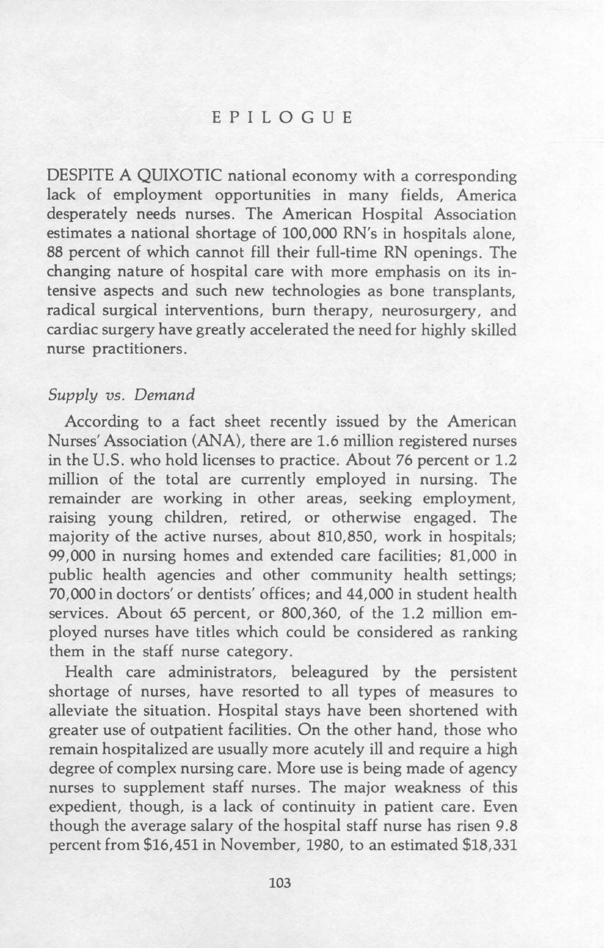## EPILOGUE

DESPITE A QUIXOTIC national economy with a corresponding lack of employment opportunities in many fields, America desperately needs nurses. The American Hospital Association estimates a national shortage of 100,000 RN's in hospitals alone, 88 percent of which cannot fill their full-time RN openings. The changing nature of hospital care with more emphasis on its intensive aspects and such new technologies as bone transplants, radical surgical interventions, burn therapy, neurosurgery, and cardiac surgery have greatly accelerated the need for highly skilled nurse practitioners.

### *Supply vs. Demand*

According to a fact sheet recently issued by the American Nurses' Association (ANA), there are 1.6 million registered nurses in the U.S. who hold licenses to practice. About 76 percent or 1.2 million of the total are currently employed in nursing. The remainder are working in other areas, seeking employment, raising young children, retired, or otherwise engaged. The majority of the active nurses, about 810,850, work in hospitals; 99,000 in nursing homes and extended care facilities; 81,000 in public health agencies and other community health settings; 70,000 in doctors' or dentists' offices; and 44,000 in student health services. About 65 percent, or 800,360, of the 1.2 million employed nurses have titles which could be considered as ranking them in the staff nurse category.

Health care administrators, beleagured by the persistent shortage of nurses, have resorted to all types of measures to alleviate the situation. Hospital stays have been shortened with greater use of outpatient facilities. On the other hand, those who remain hospitalized are usually more acutely ill and require a high degree of complex nursing care. More use is being made of agency nurses to supplement staff nurses. The major weakness of this expedient, though, is a lack of continuity in patient care. Even though the average salary of the hospital staff nurse has risen 9.8 percent from \$16,451 in November, 1980, to an estimated \$18,331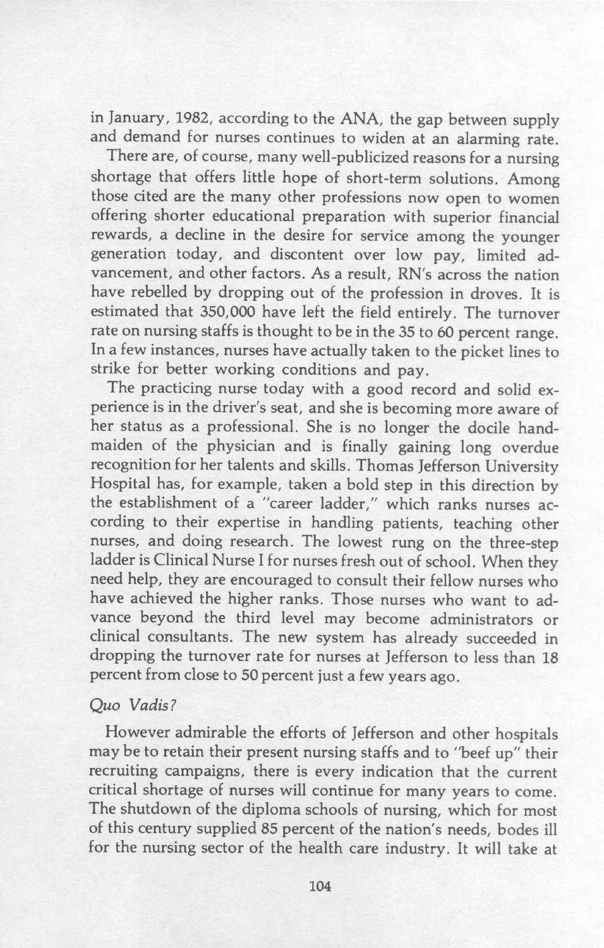in January, 1982, according to the ANA, the gap between supply and demand for nurses continues to widen at an alarming rate.

There are, of course, many well-publicized reasons for a nursing shortage that offers little hope of short-term solutions. Among those cited are the many other professions now open to women offering shorter educational preparation with superior financial rewards, a decline in the desire for service among the younger generation today, and discontent over low pay, limited advancement, and other factors. As a result, RN's across the nation have rebelled by dropping out of the profession in droves. It is estimated that 350,000 have left the field entirely. The turnover rate on nursing staffs is thought to be in the 35 to 60 percent range. In a few instances, nurses have actually taken to the picket lines to strike for better working conditions and pay.

The practicing nurse today with a good record and solid experience is in the driver's seat, and she is becoming more aware of her status as a professional. She is no longer the docile handmaiden of the physician and is finally gaining long overdue recognition for her talents and skills. Thomas Jefferson University Hospital has, for example, taken a bold step in this direction by the establishment of a "career ladder," which ranks nurses according to their expertise in handling patients, teaching other nurses, and doing research. The lowest rung on the three-step ladder is Clinical Nurse I for nurses fresh out of school. When they need help, they are encouraged to consult their fellow nurses who have achieved the higher ranks. Those nurses who want to advance beyond the third level may become administrators or clinical consultants. The new system has already succeeded in dropping the turnover rate for nurses at Jefferson to less than 18 percent from close to 50 percent just a few years ago.

#### *Quo Vadis?*

However admirable the efforts of Jefferson and other hospitals may be to retain their present nursing staffs and to "beef up" their recruiting campaigns, there is every indication that the current critical shortage of nurses will continue for many years to come. The shutdown of the diploma schools of nursing, which for most of this century supplied 85 percent of the nation's needs, bodes ill for the nursing sector of the health care industry. It will take at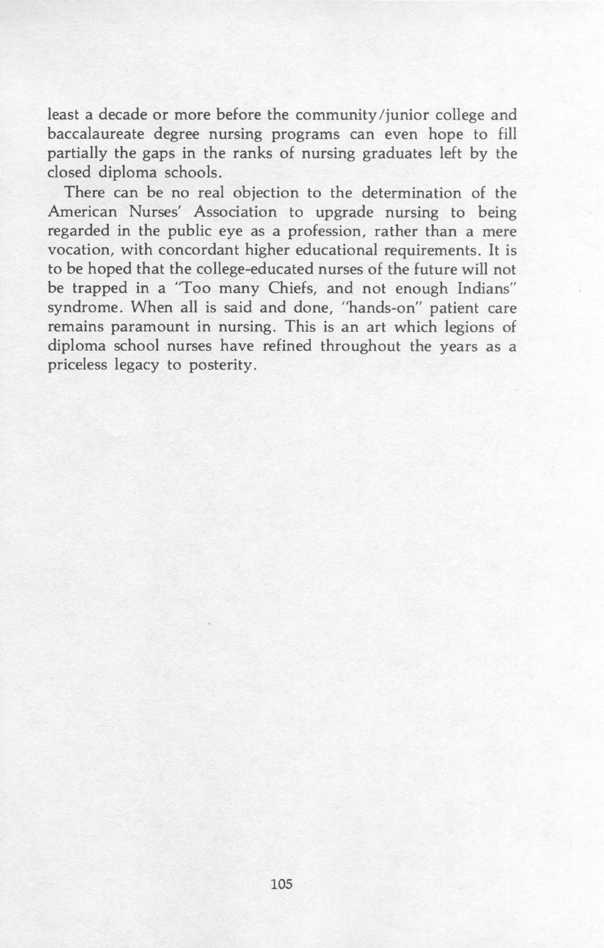least a decade or more before the community /junior college and baccalaureate degree nursing programs can even hope to fill partially the gaps in the ranks of nursing graduates left by the closed diploma schools.

There can be no real objection to the determination of the American Nurses' Association to upgrade nursing to being regarded in the public eye as a profession, rather than a mere vocation, with concordant higher educational requirements. It is to be hoped that the college-educated nurses of the future will not be trapped in a "Too many Chiefs, and not enough Indians" syndrome. When all is said and done, "hands-on" patient care remains paramount in nursing. This is an art which legions of diploma school nurses have refined throughout the years as a priceless legacy to posterity.